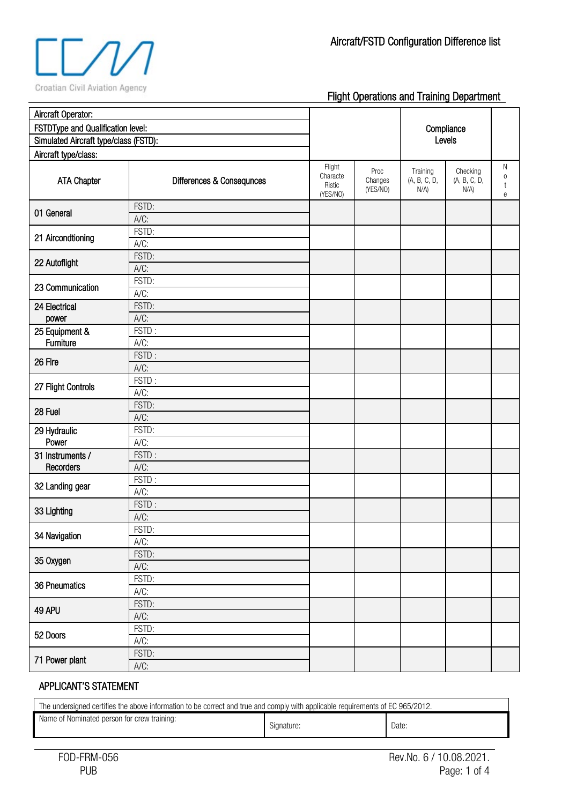



Croatian Civil Aviation Agency

Flight Operations and Training Department

| Aircraft Operator:                    |                           |                                          |                             |                                     |                                     |                            |
|---------------------------------------|---------------------------|------------------------------------------|-----------------------------|-------------------------------------|-------------------------------------|----------------------------|
| FSTDType and Qualification level:     |                           |                                          |                             | Compliance                          |                                     |                            |
| Simulated Aircraft type/class (FSTD): |                           |                                          |                             |                                     | Levels                              |                            |
| Aircraft type/class:                  |                           |                                          |                             |                                     |                                     |                            |
| <b>ATA Chapter</b>                    | Differences & Consequnces | Flight<br>Characte<br>Ristic<br>(YES/NO) | Proc<br>Changes<br>(YES/NO) | Training<br>(A, B, C, D,<br>$N/A$ ) | Checking<br>(A, B, C, D,<br>$N/A$ ) | N<br>$\mathsf 0$<br>t<br>е |
| 01 General                            | FSTD:<br>A/C:             |                                          |                             |                                     |                                     |                            |
| 21 Aircondtioning                     | FSTD:<br>A/C:             |                                          |                             |                                     |                                     |                            |
| 22 Autoflight                         | FSTD:<br>A/C:             |                                          |                             |                                     |                                     |                            |
| 23 Communication                      | FSTD:<br>A/C:             |                                          |                             |                                     |                                     |                            |
| 24 Electrical<br>power                | FSTD:<br>A/C:             |                                          |                             |                                     |                                     |                            |
| 25 Equipment &<br>Furniture           | FSTD:<br>A/C:             |                                          |                             |                                     |                                     |                            |
| 26 Fire                               | FSTD:<br>A/C:             |                                          |                             |                                     |                                     |                            |
| 27 Flight Controls                    | FSTD:<br>A/C:             |                                          |                             |                                     |                                     |                            |
| 28 Fuel                               | FSTD:<br>A/C:             |                                          |                             |                                     |                                     |                            |
| 29 Hydraulic<br>Power                 | FSTD:<br>A/C:             |                                          |                             |                                     |                                     |                            |
| 31 Instruments /<br>Recorders         | FSTD:<br>A/C:             |                                          |                             |                                     |                                     |                            |
| 32 Landing gear                       | FSTD:<br>A/C:             |                                          |                             |                                     |                                     |                            |
| 33 Lighting                           | FSTD:<br>A/C:             |                                          |                             |                                     |                                     |                            |
| 34 Navigation                         | FSTD:<br>A/C:             |                                          |                             |                                     |                                     |                            |
| 35 Oxygen                             | FSTD:<br>A/C:             |                                          |                             |                                     |                                     |                            |
| 36 Pneumatics                         | FSTD:<br>A/C:             |                                          |                             |                                     |                                     |                            |
| 49 APU                                | FSTD:<br>A/C:             |                                          |                             |                                     |                                     |                            |
| 52 Doors                              | FSTD:<br>A/C:             |                                          |                             |                                     |                                     |                            |
| 71 Power plant                        | FSTD:<br>$A/C$ :          |                                          |                             |                                     |                                     |                            |

# APPLICANT'S STATEMENT

| The undersigned certifies the above information to be correct and true and comply with applicable requirements of EC 965/2012. |            |       |  |  |  |  |
|--------------------------------------------------------------------------------------------------------------------------------|------------|-------|--|--|--|--|
| Name of Nominated person for crew training:                                                                                    | Signature: | Date: |  |  |  |  |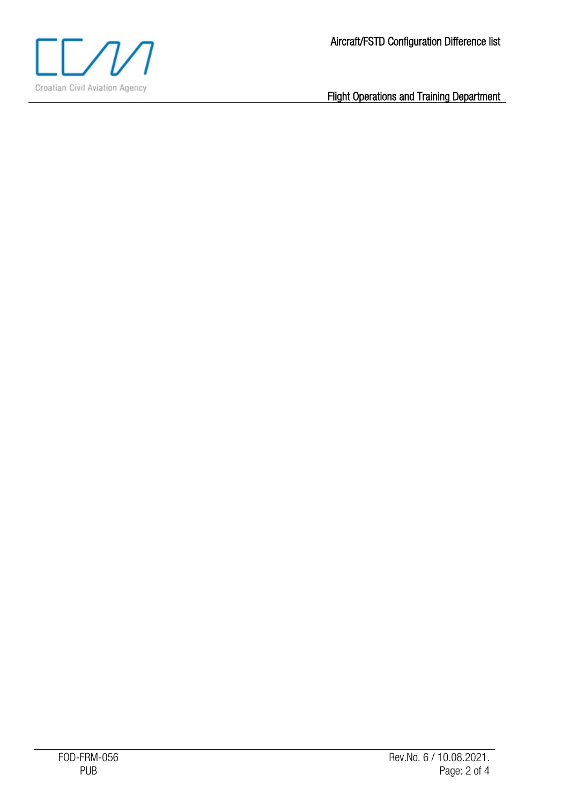

Flight Operations and Training Department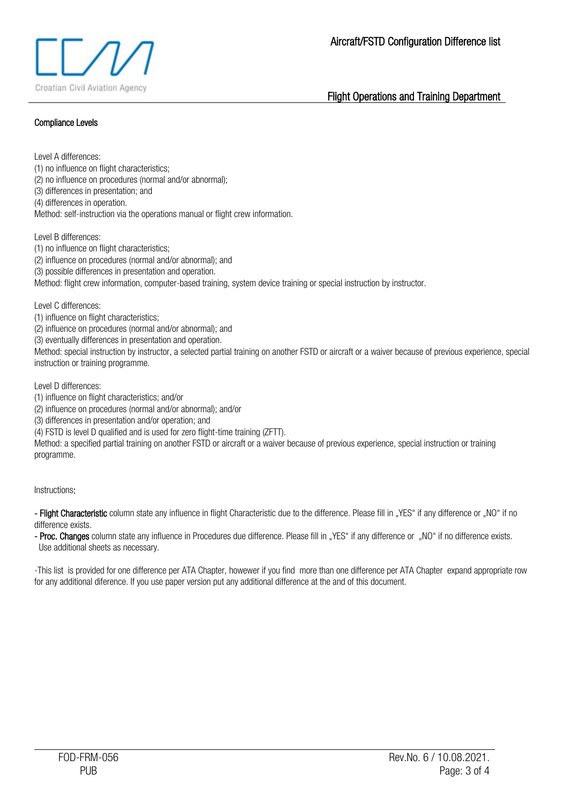

# Flight Operations and Training Department

### Compliance Levels

Level A differences:

(1) no influence on flight characteristics;

(2) no influence on procedures (normal and/or abnormal);

(3) differences in presentation; and

(4) differences in operation.

Method: self-instruction via the operations manual or flight crew information.

Level B differences:

(1) no influence on flight characteristics;

(2) influence on procedures (normal and/or abnormal); and

(3) possible differences in presentation and operation.

Method: flight crew information, computer-based training, system device training or special instruction by instructor.

Level C differences:

(1) influence on flight characteristics;

(2) influence on procedures (normal and/or abnormal); and

(3) eventually differences in presentation and operation.

Method: special instruction by instructor, a selected partial training on another FSTD or aircraft or a waiver because of previous experience, special instruction or training programme.

Level D differences:

(1) influence on flight characteristics; and/or

(2) influence on procedures (normal and/or abnormal); and/or

(3) differences in presentation and/or operation; and

(4) FSTD is level D qualified and is used for zero flight-time training (ZFTT).

Method: a specified partial training on another FSTD or aircraft or a waiver because of previous experience, special instruction or training programme.

#### Instructions:

- Flight Characteristic column state any influence in flight Characteristic due to the difference. Please fill in "YES" if any difference or "NO" if no difference exists.

- Proc. Changes column state any influence in Procedures due difference. Please fill in ..YES" if any difference or ..NO" if no difference exists. Use additional sheets as necessary.

-This list is provided for one difference per ATA Chapter, howewer if you find more than one difference per ATA Chapter expand appropriate row for any additional diference. If you use paper version put any additional difference at the and of this document.